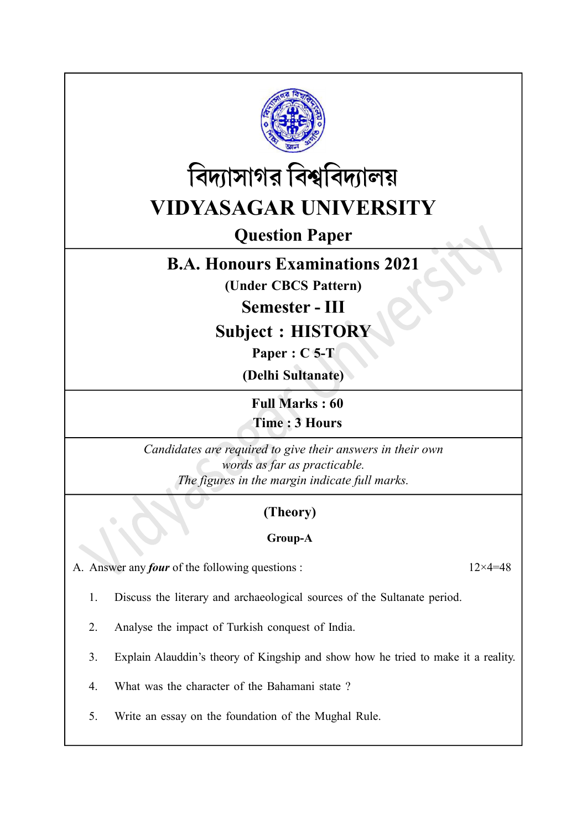



# Question Paper

## B.A. Honours Examinations 2021

(Under CBCS Pattern)

Semester - III

Subject : HISTORY

Paper : C 5-T

(Delhi Sultanate)

Full Marks : 60 Time : 3 Hours

Candidates are required to give their answers in their own words as far as practicable. The figures in the margin indicate full marks.

### (Theory)

### Group-A

A. Answer any *four* of the following questions :  $12 \times 4 = 48$ 

- 1. Discuss the literary and archaeological sources of the Sultanate period.
- 2. Analyse the impact of Turkish conquest of India.
- 3. Explain Alauddin's theory of Kingship and show how he tried to make it a reality.
- 4. What was the character of the Bahamani state ?
- 5. Write an essay on the foundation of the Mughal Rule.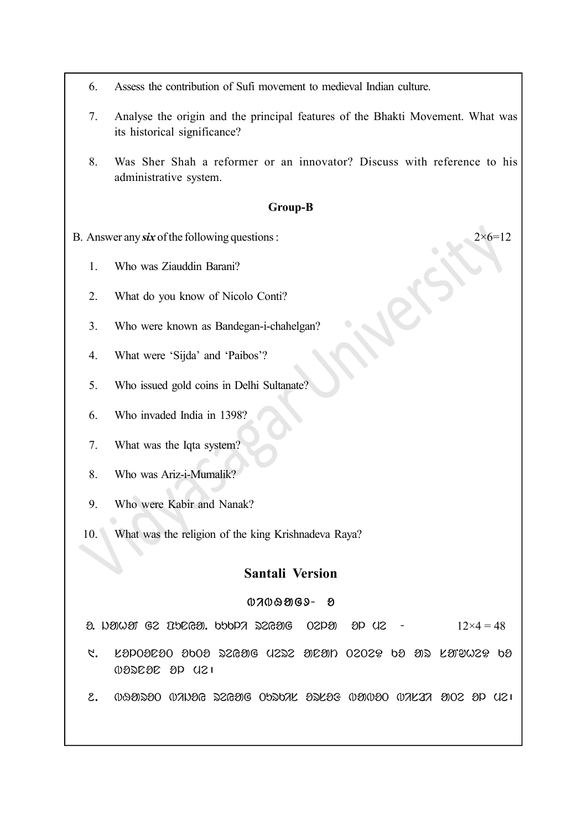- 6. Assess the contribution of Sufi movement to medieval Indian culture.
- 7. Analyse the origin and the principal features of the Bhakti Movement. What was its historical significance?
- 8. Was Sher Shah a reformer or an innovator? Discuss with reference to his administrative system.

#### Group-B

- B. Answer any six of the following questions :  $2 \times 6 = 12$ 
	- 1. Who was Ziauddin Barani?
	- 2. What do you know of Nicolo Conti?
	- 3. Who were known as Bandegan-i-chahelgan?
	- 4. What were 'Sijda' and 'Paibos'?
	- 5. Who issued gold coins in Delhi Sultanate?
	- 6. Who invaded India in 1398?
	- 7. What was the Iqta system?
	- 8. Who was Ariz-i-Mumalik?
	- 9. Who were Kabir and Nanak?
	- 10. What was the religion of the king Krishnadeva Raya?

#### Santali Version

#### $0700909 - 8$

 $\alpha$ . in the C<sub>2</sub> Tela C<sub>2</sub> is the C<sub>2</sub> is the punity of  $\alpha$  and  $\alpha$  is the  $\alpha$  of  $\alpha$  is the  $\alpha$  of  $\alpha$  is the  $\alpha$  is the  $\alpha$  is the  $\alpha$  is the  $\alpha$  is the  $\alpha$  is the  $\alpha$  is the  $\alpha$  is the  $\alpha$  is the  $\alpha$  is

- $1.$  . KSD09E90 3009 22691G U222 91E910 0202 $\%$  b9 912 K919W2 $\%$  b9  $000000000001$
- $2.$  092580  $0/10$  bigoted babot barot barot barot biskis biskis barot bis $2$